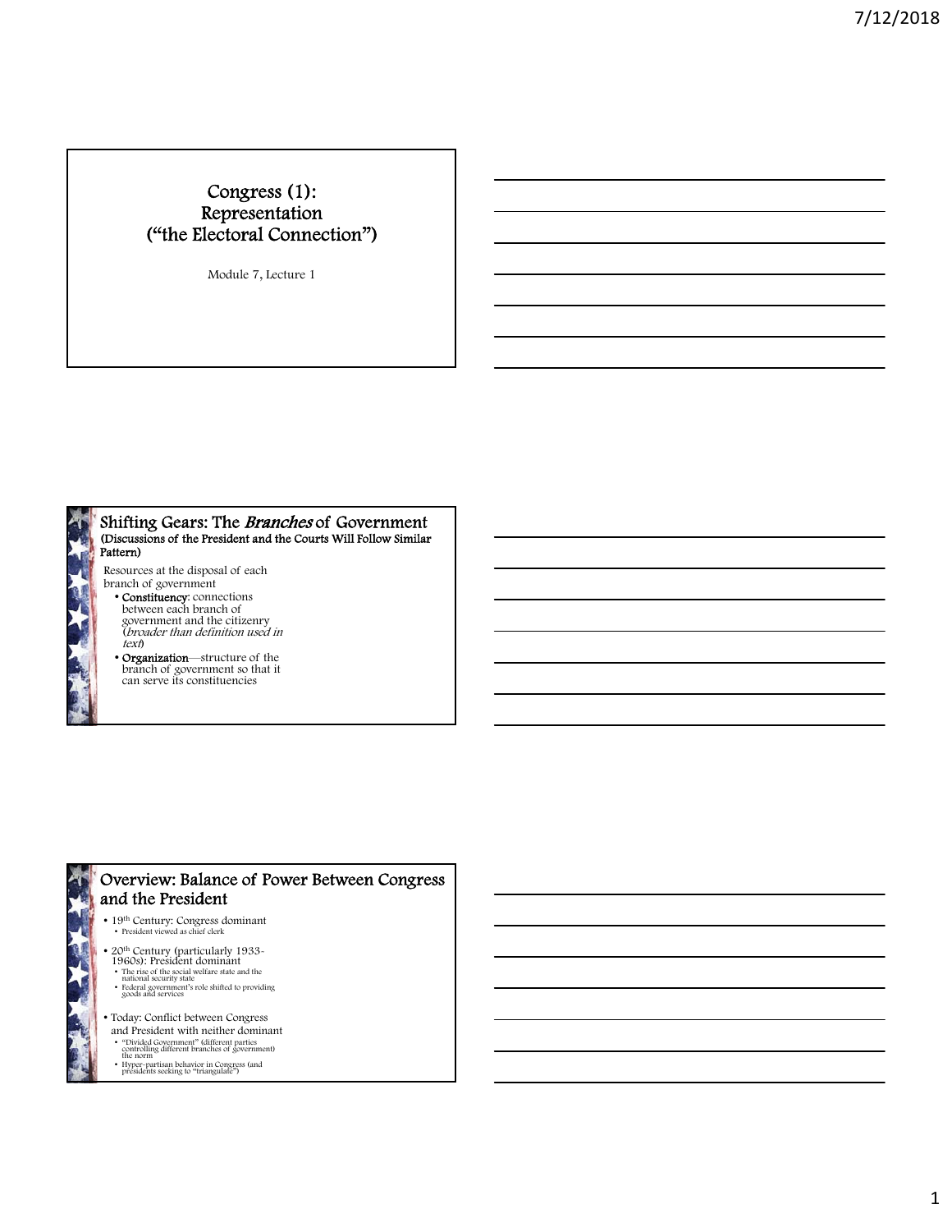## Congress (1): Representation ("the Electoral Connection")

Module 7, Lecture 1



### Shifting Gears: The Branches of Government (Discussions of the President and the Courts Will Follow Similar Pattern)

Resources at the disposal of each branch of government

- Constituency: connections between each branch of government and the citizenry<br>(*broader than definition used in* text)
- Organization—structure of the branch of government so that it can serve its constituencies



## Overview: Balance of Power Between Congress and the President

- 19<sup>th</sup> Century: Congress dominant<br>• President viewed as chief clerk
- 20th Century (particularly 1933- 1960s): President dominant
- The rise of the social welfare state and the national security state<br>• Federal government's role shifted to providing edgeral government's role shifted to providing
- 
- Today: Conflict between Congress and President with neither dominant
- 
- "Divided Government" (different parties controlling different branches of government) the norm
- Hyper-partisan behavior in Congress (and presidents seeking to "triangulate")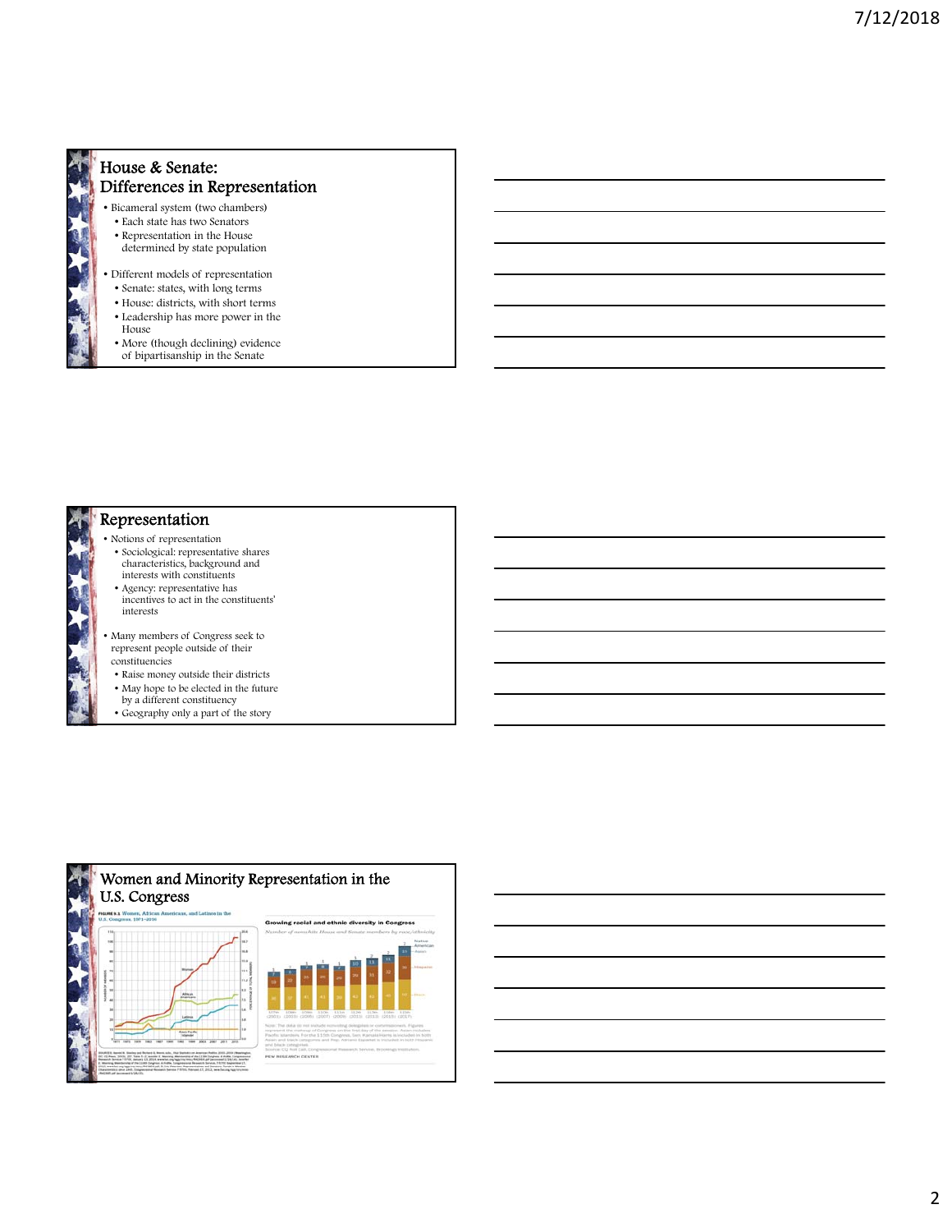### House & Senate: Differences in Representation

- Bicameral system (two chambers)
	- Each state has two Senators • Representation in the House
	- determined by state population
- Different models of representation
- Senate: states, with long terms
- House: districts, with short terms • Leadership has more power in the House
- More (though declining) evidence of bipartisanship in the Senate



# Representation

- Notions of representation • Sociological: representative shares characteristics, background and
- interests with constituents • Agency: representative has incentives to act in the constituents' interests
- Many members of Congress seek to represent people outside of their constituencies
- Raise money outside their districts
- May hope to be elected in the future
- by a different constituency
- Geography only a part of the story

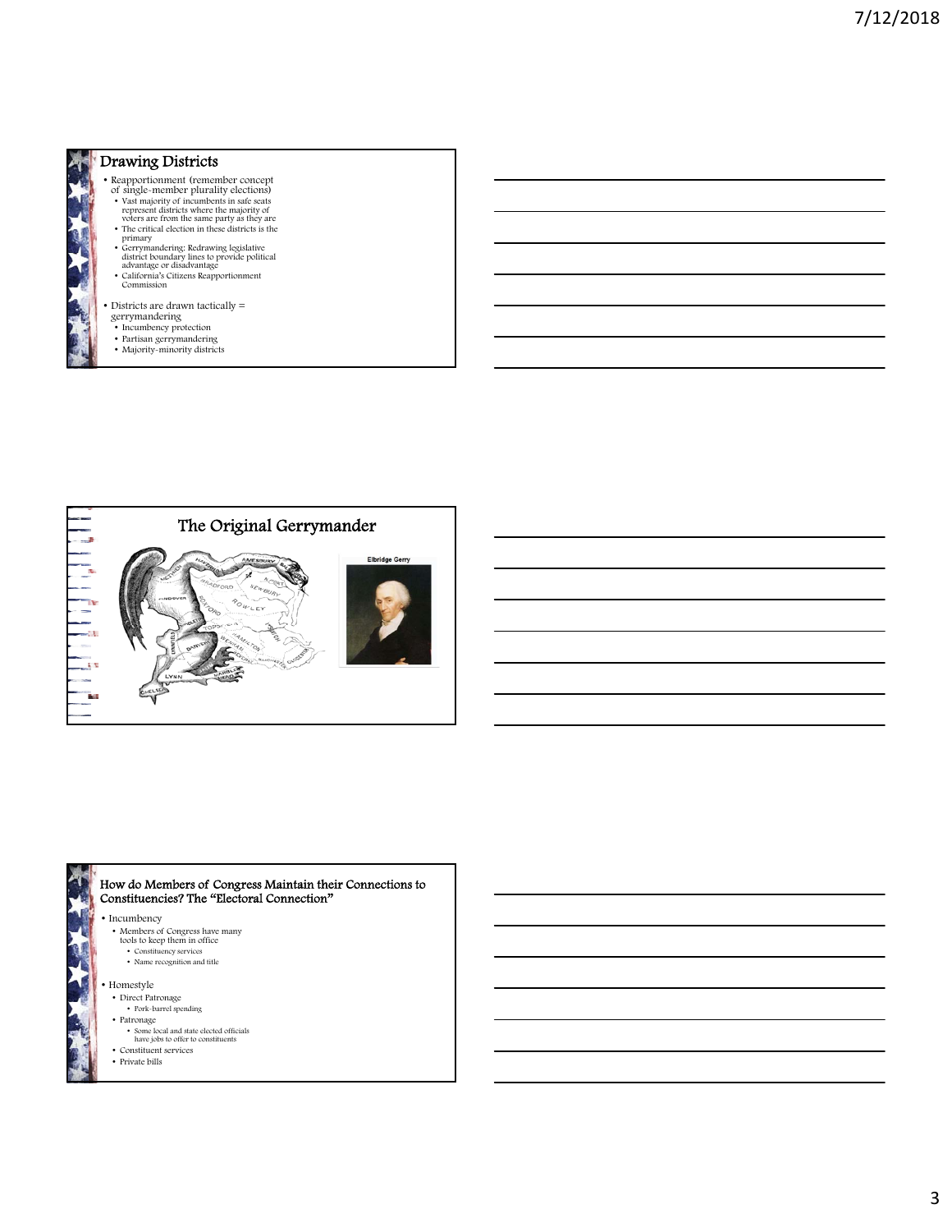

## Drawing Districts

- 
- Reapportionment (remember concept<br>
of single-member plurality elections)<br>
 Vast majority of incumbents in safe seats<br>
represent districts where the majority of<br>
voters are from the same party as they are
- The critical election in these districts is the critical district boundary lines to provide political district boundary lines to provide political advantage or disadvantage<br>
 California's Citizens Reapportionment Commis
- 
- 
- 
- Districts are drawn tactically = gerrymandering
- 
- Incumbency protection Partisan gerrymandering Majority-minority districts
- 





### • Incumbency How do Members of Congress Maintain their Connections to Constituencies? The "Electoral Connection"

- 
- Members of Congress have many tools to keep them in office
- Constituency services Name recognition and title
- 
- Homestyle
	- Direct Patronage
	- Pork-barrel spending • Patronage
	-
	- Some local and state elected officials have jobs to offer to constituents
	- $\bullet\,$  Constituent services • Private bills
-